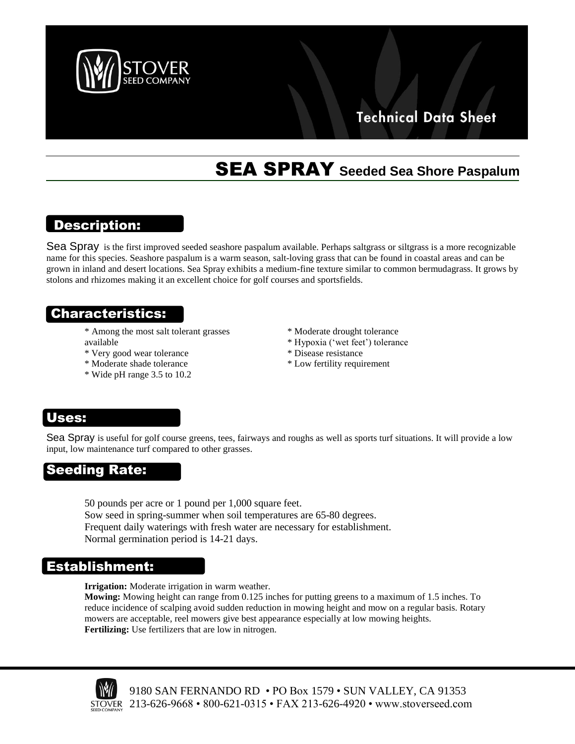

## **Technical Data Sheet**

# SEA SPRAY **Seeded Sea Shore Paspalum**

## Description:

Sea Spray is the first improved seeded seashore paspalum available. Perhaps saltgrass or siltgrass is a more recognizable name for this species. Seashore paspalum is a warm season, salt-loving grass that can be found in coastal areas and can be grown in inland and desert locations. Sea Spray exhibits a medium-fine texture similar to common bermudagrass. It grows by stolons and rhizomes making it an excellent choice for golf courses and sportsfields.

## Characteristics:

- \* Among the most salt tolerant grasses available
	- avanable<br>\* Very good wear tolerance
- \* \* Moderate shade tolerance

high traffic

 $*$  Wide pH range 3.5 to 10.2

Seeding

- \* Moderate drought tolerance
- \* Hypoxia ('wet feet') tolerance
- \* Disease resistance
- \* Low fertility requirement

### Tolerance **Uses:**

during warm

\*

\*\*\*\*\*\*\*\*\*\*\*\*\*\*\*\*\*\*\*\*\*\*\*

I

Sea Spray is useful for golf course greens, tees, fairways and roughs as well as sports turf situations. It will provide a low bed Opray is ascul for gon coase greens, tees, hand-<br>input, low maintenance turf compared to other grasses.

#### \* **See** ing **Dot**e **Seeding Rate**  $\ddot{\mathbf{v}}$ Seeding Rate: Heat & Drought Tolerance

areas

 $\frac{S}{S}$ 0 pounds per Sow seed in spring-summer when soil temperatures are 65-80 degrees. Frequent daily waterings with fresh water are necessary for establishment.  $\frac{58}{50}$ Normal germination period is 14-21 days. 50 pounds per acre or 1 pound per 1,000 square feet.

### **Establishmen** quickly \* Establishment: textured \*Germinates

**Irrigation:** Moderate irrigation in warm weather.

reduce incidence of scalping avoid sudden reduction in mowing height and mow on a regular basis. Rotary Fertilizing: Use fertilizers that are low in nitrogen. Mowing: Mowing height can range from 0.125 inches for putting greens to a maximum of 1.5 inches. To mowers are acceptable, reel mowers give best appearance especially at low mowing heights.